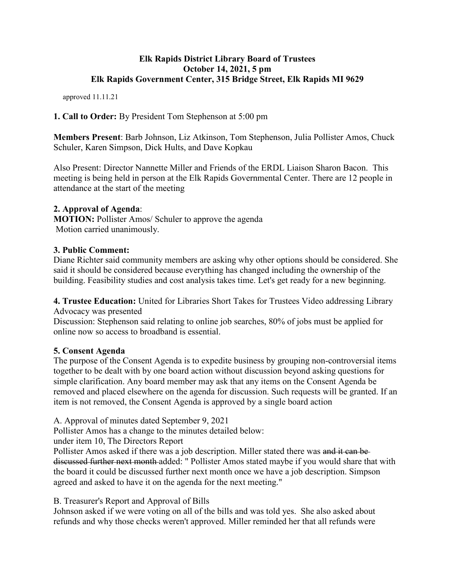### **Elk Rapids District Library Board of Trustees October 14, 2021, 5 pm Elk Rapids Government Center, 315 Bridge Street, Elk Rapids MI 9629**

approved 11.11.21

**1. Call to Order:** By President Tom Stephenson at 5:00 pm

**Members Present**: Barb Johnson, Liz Atkinson, Tom Stephenson, Julia Pollister Amos, Chuck Schuler, Karen Simpson, Dick Hults, and Dave Kopkau

Also Present: Director Nannette Miller and Friends of the ERDL Liaison Sharon Bacon. This meeting is being held in person at the Elk Rapids Governmental Center. There are 12 people in attendance at the start of the meeting

# **2. Approval of Agenda**:

**MOTION:** Pollister Amos/ Schuler to approve the agenda Motion carried unanimously.

### **3. Public Comment:**

Diane Richter said community members are asking why other options should be considered. She said it should be considered because everything has changed including the ownership of the building. Feasibility studies and cost analysis takes time. Let's get ready for a new beginning.

**4. Trustee Education:** United for Libraries Short Takes for Trustees Video addressing Library Advocacy was presented

Discussion: Stephenson said relating to online job searches, 80% of jobs must be applied for online now so access to broadband is essential.

# **5. Consent Agenda**

The purpose of the Consent Agenda is to expedite business by grouping non-controversial items together to be dealt with by one board action without discussion beyond asking questions for simple clarification. Any board member may ask that any items on the Consent Agenda be removed and placed elsewhere on the agenda for discussion. Such requests will be granted. If an item is not removed, the Consent Agenda is approved by a single board action

A. Approval of minutes dated September 9, 2021

Pollister Amos has a change to the minutes detailed below:

under item 10, The Directors Report

Pollister Amos asked if there was a job description. Miller stated there was and it can be discussed further next month added: " Pollister Amos stated maybe if you would share that with the board it could be discussed further next month once we have a job description. Simpson agreed and asked to have it on the agenda for the next meeting."

# B. Treasurer's Report and Approval of Bills

Johnson asked if we were voting on all of the bills and was told yes. She also asked about refunds and why those checks weren't approved. Miller reminded her that all refunds were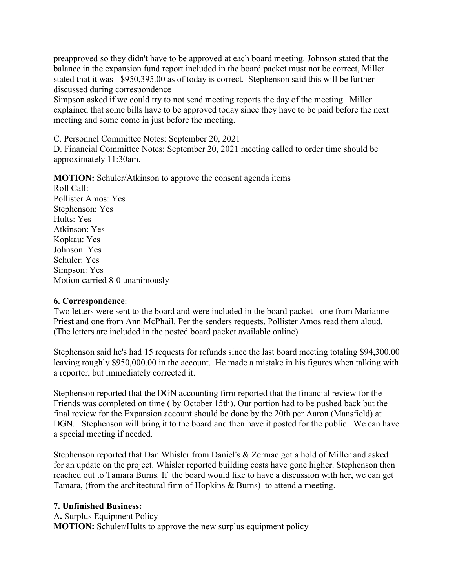preapproved so they didn't have to be approved at each board meeting. Johnson stated that the balance in the expansion fund report included in the board packet must not be correct, Miller stated that it was - \$950,395.00 as of today is correct. Stephenson said this will be further discussed during correspondence

Simpson asked if we could try to not send meeting reports the day of the meeting. Miller explained that some bills have to be approved today since they have to be paid before the next meeting and some come in just before the meeting.

C. Personnel Committee Notes: September 20, 2021

D. Financial Committee Notes: September 20, 2021 meeting called to order time should be approximately 11:30am.

**MOTION:** Schuler/Atkinson to approve the consent agenda items

Roll Call: Pollister Amos: Yes Stephenson: Yes Hults: Yes Atkinson: Yes Kopkau: Yes Johnson: Yes Schuler: Yes Simpson: Yes Motion carried 8-0 unanimously

### **6. Correspondence**:

Two letters were sent to the board and were included in the board packet - one from Marianne Priest and one from Ann McPhail. Per the senders requests, Pollister Amos read them aloud. (The letters are included in the posted board packet available online)

Stephenson said he's had 15 requests for refunds since the last board meeting totaling \$94,300.00 leaving roughly \$950,000.00 in the account. He made a mistake in his figures when talking with a reporter, but immediately corrected it.

Stephenson reported that the DGN accounting firm reported that the financial review for the Friends was completed on time ( by October 15th). Our portion had to be pushed back but the final review for the Expansion account should be done by the 20th per Aaron (Mansfield) at DGN. Stephenson will bring it to the board and then have it posted for the public. We can have a special meeting if needed.

Stephenson reported that Dan Whisler from Daniel's & Zermac got a hold of Miller and asked for an update on the project. Whisler reported building costs have gone higher. Stephenson then reached out to Tamara Burns. If the board would like to have a discussion with her, we can get Tamara, (from the architectural firm of Hopkins & Burns) to attend a meeting.

### **7. Unfinished Business:**

A**.** Surplus Equipment Policy

**MOTION:** Schuler/Hults to approve the new surplus equipment policy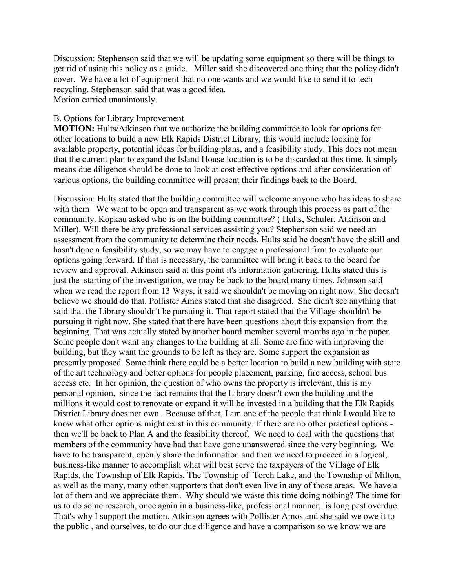Discussion: Stephenson said that we will be updating some equipment so there will be things to get rid of using this policy as a guide. Miller said she discovered one thing that the policy didn't cover. We have a lot of equipment that no one wants and we would like to send it to tech recycling. Stephenson said that was a good idea. Motion carried unanimously.

#### B. Options for Library Improvement

**MOTION:** Hults/Atkinson that we authorize the building committee to look for options for other locations to build a new Elk Rapids District Library; this would include looking for available property, potential ideas for building plans, and a feasibility study. This does not mean that the current plan to expand the Island House location is to be discarded at this time. It simply means due diligence should be done to look at cost effective options and after consideration of various options, the building committee will present their findings back to the Board.

Discussion: Hults stated that the building committee will welcome anyone who has ideas to share with them We want to be open and transparent as we work through this process as part of the community. Kopkau asked who is on the building committee? ( Hults, Schuler, Atkinson and Miller). Will there be any professional services assisting you? Stephenson said we need an assessment from the community to determine their needs. Hults said he doesn't have the skill and hasn't done a feasibility study, so we may have to engage a professional firm to evaluate our options going forward. If that is necessary, the committee will bring it back to the board for review and approval. Atkinson said at this point it's information gathering. Hults stated this is just the starting of the investigation, we may be back to the board many times. Johnson said when we read the report from 13 Ways, it said we shouldn't be moving on right now. She doesn't believe we should do that. Pollister Amos stated that she disagreed. She didn't see anything that said that the Library shouldn't be pursuing it. That report stated that the Village shouldn't be pursuing it right now. She stated that there have been questions about this expansion from the beginning. That was actually stated by another board member several months ago in the paper. Some people don't want any changes to the building at all. Some are fine with improving the building, but they want the grounds to be left as they are. Some support the expansion as presently proposed. Some think there could be a better location to build a new building with state of the art technology and better options for people placement, parking, fire access, school bus access etc. In her opinion, the question of who owns the property is irrelevant, this is my personal opinion, since the fact remains that the Library doesn't own the building and the millions it would cost to renovate or expand it will be invested in a building that the Elk Rapids District Library does not own. Because of that, I am one of the people that think I would like to know what other options might exist in this community. If there are no other practical options then we'll be back to Plan A and the feasibility thereof. We need to deal with the questions that members of the community have had that have gone unanswered since the very beginning. We have to be transparent, openly share the information and then we need to proceed in a logical, business-like manner to accomplish what will best serve the taxpayers of the Village of Elk Rapids, the Township of Elk Rapids, The Township of Torch Lake, and the Township of Milton, as well as the many, many other supporters that don't even live in any of those areas. We have a lot of them and we appreciate them. Why should we waste this time doing nothing? The time for us to do some research, once again in a business-like, professional manner, is long past overdue. That's why I support the motion. Atkinson agrees with Pollister Amos and she said we owe it to the public , and ourselves, to do our due diligence and have a comparison so we know we are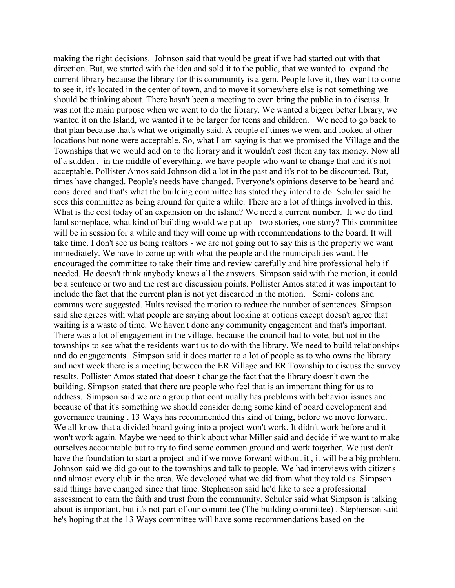making the right decisions. Johnson said that would be great if we had started out with that direction. But, we started with the idea and sold it to the public, that we wanted to expand the current library because the library for this community is a gem. People love it, they want to come to see it, it's located in the center of town, and to move it somewhere else is not something we should be thinking about. There hasn't been a meeting to even bring the public in to discuss. It was not the main purpose when we went to do the library. We wanted a bigger better library, we wanted it on the Island, we wanted it to be larger for teens and children. We need to go back to that plan because that's what we originally said. A couple of times we went and looked at other locations but none were acceptable. So, what I am saying is that we promised the Village and the Townships that we would add on to the library and it wouldn't cost them any tax money. Now all of a sudden , in the middle of everything, we have people who want to change that and it's not acceptable. Pollister Amos said Johnson did a lot in the past and it's not to be discounted. But, times have changed. People's needs have changed. Everyone's opinions deserve to be heard and considered and that's what the building committee has stated they intend to do. Schuler said he sees this committee as being around for quite a while. There are a lot of things involved in this. What is the cost today of an expansion on the island? We need a current number. If we do find land someplace, what kind of building would we put up - two stories, one story? This committee will be in session for a while and they will come up with recommendations to the board. It will take time. I don't see us being realtors - we are not going out to say this is the property we want immediately. We have to come up with what the people and the municipalities want. He encouraged the committee to take their time and review carefully and hire professional help if needed. He doesn't think anybody knows all the answers. Simpson said with the motion, it could be a sentence or two and the rest are discussion points. Pollister Amos stated it was important to include the fact that the current plan is not yet discarded in the motion. Semi- colons and commas were suggested. Hults revised the motion to reduce the number of sentences. Simpson said she agrees with what people are saying about looking at options except doesn't agree that waiting is a waste of time. We haven't done any community engagement and that's important. There was a lot of engagement in the village, because the council had to vote, but not in the townships to see what the residents want us to do with the library. We need to build relationships and do engagements. Simpson said it does matter to a lot of people as to who owns the library and next week there is a meeting between the ER Village and ER Township to discuss the survey results. Pollister Amos stated that doesn't change the fact that the library doesn't own the building. Simpson stated that there are people who feel that is an important thing for us to address. Simpson said we are a group that continually has problems with behavior issues and because of that it's something we should consider doing some kind of board development and governance training , 13 Ways has recommended this kind of thing, before we move forward. We all know that a divided board going into a project won't work. It didn't work before and it won't work again. Maybe we need to think about what Miller said and decide if we want to make ourselves accountable but to try to find some common ground and work together. We just don't have the foundation to start a project and if we move forward without it , it will be a big problem. Johnson said we did go out to the townships and talk to people. We had interviews with citizens and almost every club in the area. We developed what we did from what they told us. Simpson said things have changed since that time. Stephenson said he'd like to see a professional assessment to earn the faith and trust from the community. Schuler said what Simpson is talking about is important, but it's not part of our committee (The building committee) . Stephenson said he's hoping that the 13 Ways committee will have some recommendations based on the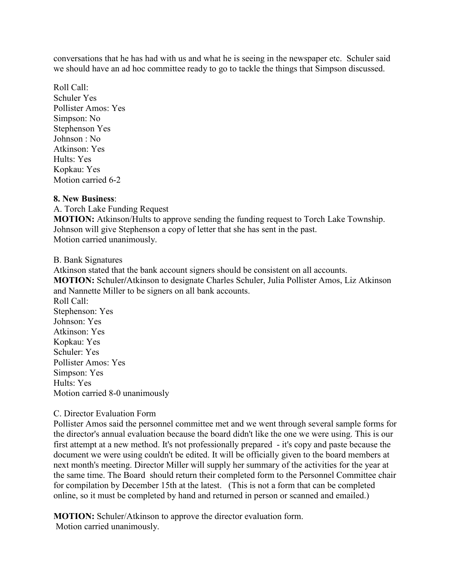conversations that he has had with us and what he is seeing in the newspaper etc. Schuler said we should have an ad hoc committee ready to go to tackle the things that Simpson discussed.

Roll Call: Schuler Yes Pollister Amos: Yes Simpson: No Stephenson Yes Johnson : No Atkinson: Yes Hults: Yes Kopkau: Yes Motion carried 6-2

#### **8. New Business**:

A. Torch Lake Funding Request **MOTION:** Atkinson/Hults to approve sending the funding request to Torch Lake Township. Johnson will give Stephenson a copy of letter that she has sent in the past. Motion carried unanimously.

#### B. Bank Signatures

Atkinson stated that the bank account signers should be consistent on all accounts. **MOTION:** Schuler**/**Atkinson to designate Charles Schuler, Julia Pollister Amos, Liz Atkinson and Nannette Miller to be signers on all bank accounts. Roll Call: Stephenson: Yes Johnson: Yes Atkinson: Yes Kopkau: Yes Schuler: Yes Pollister Amos: Yes Simpson: Yes Hults: Yes

### C. Director Evaluation Form

Motion carried 8-0 unanimously

Pollister Amos said the personnel committee met and we went through several sample forms for the director's annual evaluation because the board didn't like the one we were using. This is our first attempt at a new method. It's not professionally prepared - it's copy and paste because the document we were using couldn't be edited. It will be officially given to the board members at next month's meeting. Director Miller will supply her summary of the activities for the year at the same time. The Board should return their completed form to the Personnel Committee chair for compilation by December 15th at the latest. (This is not a form that can be completed online, so it must be completed by hand and returned in person or scanned and emailed.)

**MOTION:** Schuler/Atkinson to approve the director evaluation form. Motion carried unanimously.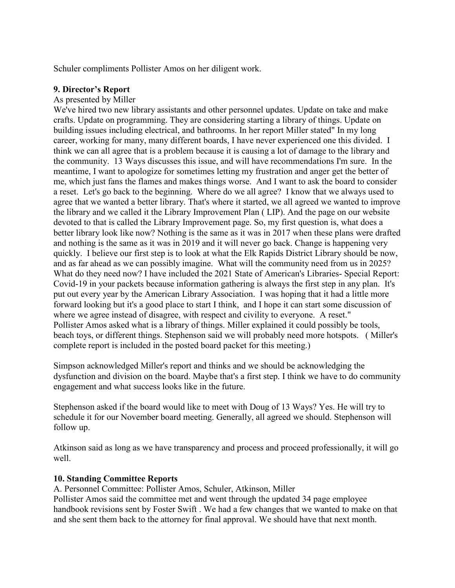Schuler compliments Pollister Amos on her diligent work.

### **9. Director's Report**

#### As presented by Miller

We've hired two new library assistants and other personnel updates. Update on take and make crafts. Update on programming. They are considering starting a library of things. Update on building issues including electrical, and bathrooms. In her report Miller stated" In my long career, working for many, many different boards, I have never experienced one this divided. I think we can all agree that is a problem because it is causing a lot of damage to the library and the community. 13 Ways discusses this issue, and will have recommendations I'm sure. In the meantime, I want to apologize for sometimes letting my frustration and anger get the better of me, which just fans the flames and makes things worse. And I want to ask the board to consider a reset. Let's go back to the beginning. Where do we all agree? I know that we always used to agree that we wanted a better library. That's where it started, we all agreed we wanted to improve the library and we called it the Library Improvement Plan ( LIP). And the page on our website devoted to that is called the Library Improvement page. So, my first question is, what does a better library look like now? Nothing is the same as it was in 2017 when these plans were drafted and nothing is the same as it was in 2019 and it will never go back. Change is happening very quickly. I believe our first step is to look at what the Elk Rapids District Library should be now, and as far ahead as we can possibly imagine. What will the community need from us in 2025? What do they need now? I have included the 2021 State of American's Libraries- Special Report: Covid-19 in your packets because information gathering is always the first step in any plan. It's put out every year by the American Library Association. I was hoping that it had a little more forward looking but it's a good place to start I think, and I hope it can start some discussion of where we agree instead of disagree, with respect and civility to everyone. A reset." Pollister Amos asked what is a library of things. Miller explained it could possibly be tools, beach toys, or different things. Stephenson said we will probably need more hotspots. ( Miller's complete report is included in the posted board packet for this meeting.)

Simpson acknowledged Miller's report and thinks and we should be acknowledging the dysfunction and division on the board. Maybe that's a first step. I think we have to do community engagement and what success looks like in the future.

Stephenson asked if the board would like to meet with Doug of 13 Ways? Yes. He will try to schedule it for our November board meeting. Generally, all agreed we should. Stephenson will follow up.

Atkinson said as long as we have transparency and process and proceed professionally, it will go well.

### **10. Standing Committee Reports**

A. Personnel Committee: Pollister Amos, Schuler, Atkinson, Miller

Pollister Amos said the committee met and went through the updated 34 page employee handbook revisions sent by Foster Swift . We had a few changes that we wanted to make on that and she sent them back to the attorney for final approval. We should have that next month.